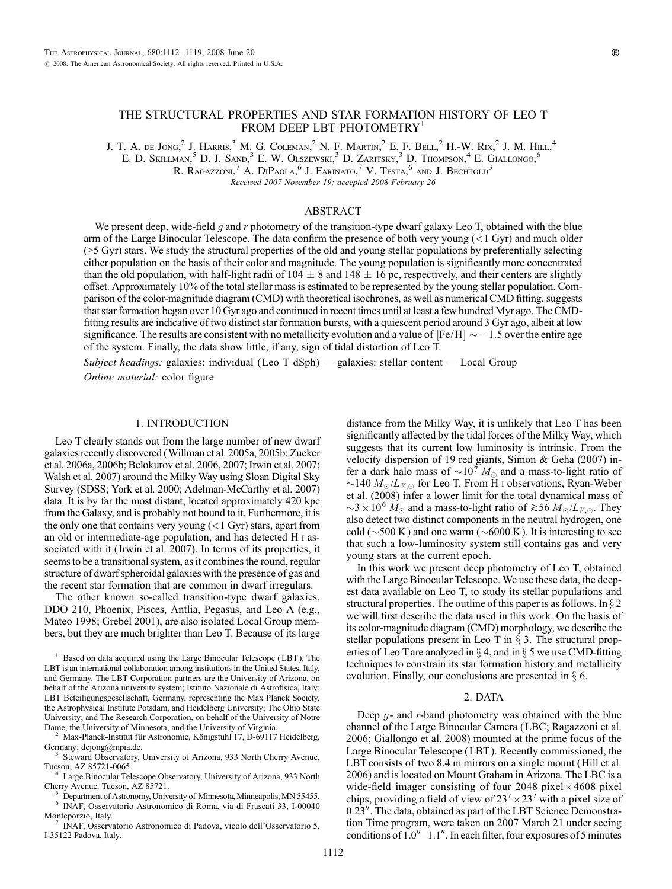# THE STRUCTURAL PROPERTIES AND STAR FORMATION HISTORY OF LEO T FROM DEEP LBT PHOTOMETRY<sup>1</sup>

J. T. A. de Jong,<sup>2</sup> J. Harris,<sup>3</sup> M. G. Coleman,<sup>2</sup> N. F. Martin,<sup>2</sup> E. F. Bell,<sup>2</sup> H.-W. Rix,<sup>2</sup> J. M. Hill,<sup>4</sup>

E. D. Skillman,<sup>5</sup> D. J. Sand,<sup>3</sup> E. W. Olszewski,<sup>3</sup> D. Zaritsky,<sup>3</sup> D. Thompson,<sup>4</sup> E. Giallongo,<sup>6</sup>

R. RAGAZZONI,<sup>7</sup> A. DIPAOLA,<sup>6</sup> J. FARINATO,<sup>7</sup> V. TESTA,<sup>6</sup> AND J. BECHTOLD<sup>3</sup>

Received 2007 November 19; accepted 2008 February 26

# ABSTRACT

We present deep, wide-field g and r photometry of the transition-type dwarf galaxy Leo T, obtained with the blue arm of the Large Binocular Telescope. The data confirm the presence of both very young  $\ll 1$  Gyr) and much older (>5 Gyr) stars. We study the structural properties of the old and young stellar populations by preferentially selecting either population on the basis of their color and magnitude. The young population is significantly more concentrated than the old population, with half-light radii of  $104 \pm 8$  and  $148 \pm 16$  pc, respectively, and their centers are slightly offset. Approximately 10% of the total stellar mass is estimated to be represented by the young stellar population. Comparison of the color-magnitude diagram (CMD) with theoretical isochrones, as well as numerical CMD fitting, suggests that star formation began over 10 Gyr ago and continued in recent times until at least a few hundred Myr ago. The CMDfitting results are indicative of two distinct star formation bursts, with a quiescent period around 3 Gyr ago, albeit at low significance. The results are consistent with no metallicity evolution and a value of  $[Fe/H] \sim -1.5$  over the entire age of the system. Finally, the data show little, if any, sign of tidal distortion of Leo T.

Subject headinggs: galaxies: individual (Leo T dSph) — galaxies: stellar content — Local Group

Online material: color figure

### 1. INTRODUCTION

Leo T clearly stands out from the large number of new dwarf galaxies recently discovered (Willman et al. 2005a, 2005b; Zucker et al. 2006a, 2006b; Belokurov et al. 2006, 2007; Irwin et al. 2007; Walsh et al. 2007) around the Milky Way using Sloan Digital Sky Survey (SDSS; York et al. 2000; Adelman-McCarthy et al. 2007) data. It is by far the most distant, located approximately 420 kpc from the Galaxy, and is probably not bound to it. Furthermore, it is the only one that contains very young  $(<1$  Gyr) stars, apart from an old or intermediate-age population, and has detected H i associated with it (Irwin et al. 2007). In terms of its properties, it seems to be a transitional system, as it combines the round, regular structure of dwarf spheroidal galaxies with the presence of gas and the recent star formation that are common in dwarf irregulars.

The other known so-called transition-type dwarf galaxies, DDO 210, Phoenix, Pisces, Antlia, Pegasus, and Leo A (e.g., Mateo 1998; Grebel 2001), are also isolated Local Group members, but they are much brighter than Leo T. Because of its large

 $<sup>1</sup>$  Based on data acquired using the Large Binocular Telescope (LBT). The</sup> LBT is an international collaboration among institutions in the United States, Italy, and Germany. The LBT Corporation partners are the University of Arizona, on behalf of the Arizona university system; Istituto Nazionale di Astrofisica, Italy; LBT Beteiligungsgesellschaft, Germany, representing the Max Planck Society, the Astrophysical Institute Potsdam, and Heidelberg University; The Ohio State University; and The Research Corporation, on behalf of the University of Notre

Dame, the University of Minnesota, and the University of Virginia.<br><sup>2</sup> Max-Planck-Institut für Astronomie, Königstuhl 17, D-69117 Heidelberg, Germany; dejong@mpia.de.

<sup>3</sup> Steward Observatory, University of Arizona, 933 North Cherry Avenue, Tucson, AZ 85721-0065.

<sup>4</sup> Large Binocular Telescope Observatory, University of Arizona, 933 North Cherry Avenue, Tucson, AZ 85721.

<sup>5</sup> Department of Astronomy, University of Minnesota, Minneapolis, MN 55455. 6 INAF, Osservatorio Astronomico di Roma, via di Frascati 33, I-00040

Monteporzio, Italy. <sup>7</sup> INAF, Osservatorio Astronomico di Padova, vicolo dell'Osservatorio 5,

I-35122 Padova, Italy.

distance from the Milky Way, it is unlikely that Leo T has been significantly affected by the tidal forces of the Milky Way, which suggests that its current low luminosity is intrinsic. From the velocity dispersion of 19 red giants, Simon & Geha (2007) infer a dark halo mass of  $\sim 10^7 M_{\odot}$  and a mass-to-light ratio of  $\sim$ 140  $M_{\odot}/L_{V,\odot}$  for Leo T. From H i observations, Ryan-Weber et al. (2008) infer a lower limit for the total dynamical mass of  $\sim$ 3 × 10<sup>6</sup> M<sub>o</sub> and a mass-to-light ratio of  $\gtrsim$  56 M<sub>o</sub>/L<sub>V,0</sub>. They also detect two distinct components in the neutral hydrogen, one cold ( $\sim$ 500 K) and one warm ( $\sim$ 6000 K). It is interesting to see that such a low-luminosity system still contains gas and very young stars at the current epoch.

In this work we present deep photometry of Leo T, obtained with the Large Binocular Telescope. We use these data, the deepest data available on Leo T, to study its stellar populations and structural properties. The outline of this paper is as follows. In  $\S 2$ we will first describe the data used in this work. On the basis of its color-magnitude diagram (CMD) morphology, we describe the stellar populations present in Leo T in  $\S$  3. The structural properties of Leo T are analyzed in  $\S 4$ , and in  $\S 5$  we use CMD-fitting techniques to constrain its star formation history and metallicity evolution. Finally, our conclusions are presented in  $\S$  6.

### 2. DATA

Deep  $g$ - and  $r$ -band photometry was obtained with the blue channel of the Large Binocular Camera (LBC; Ragazzoni et al. 2006; Giallongo et al. 2008) mounted at the prime focus of the Large Binocular Telescope (LBT ). Recently commissioned, the LBT consists of two 8.4 m mirrors on a single mount (Hill et al. 2006) and is located on Mount Graham in Arizona. The LBC is a wide-field imager consisting of four 2048 pixel  $\times$  4608 pixel chips, providing a field of view of  $23' \times 23'$  with a pixel size of  $0.23''$ . The data, obtained as part of the LBT Science Demonstration Time program, were taken on 2007 March 21 under seeing conditions of  $1.0^{\prime\prime}$  – 1.1". In each filter, four exposures of 5 minutes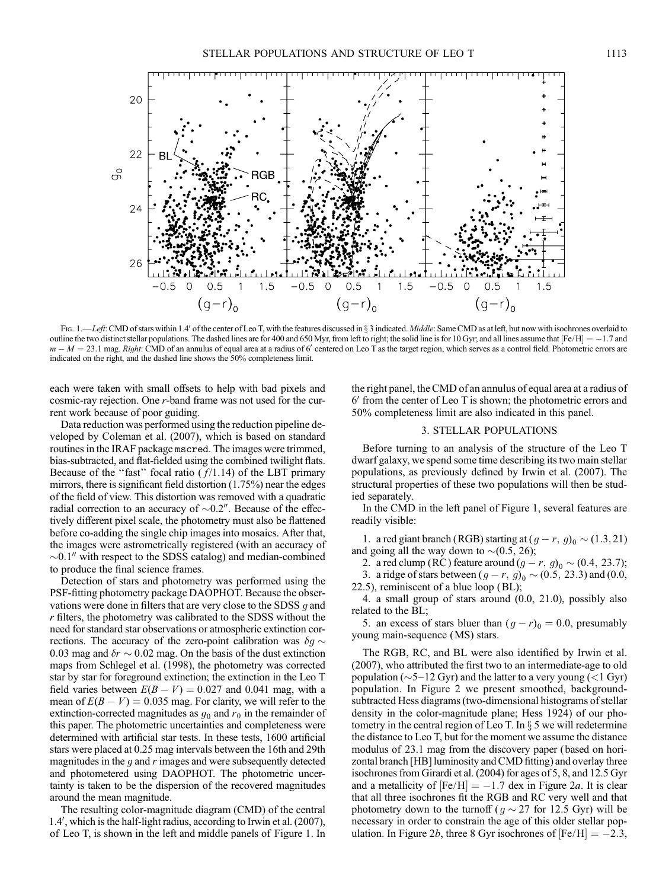

Fig. 1.—Left: CMD of stars within 1.4' of the center of Leo T, with the features discussed in § 3 indicated. Middle: Same CMD as at left, but now with isochrones overlaid to outline the two distinct stellar populations. The dashed lines are for 400 and 650 Myr, from left to right; the solid line is for 10 Gyr; and all lines assume that  $[Fe/H] = -1.7$  and  $m - M = 23.1$  mag. Right: CMD of an annulus of equal area at a radius of 6' centered on Leo T as the target region, which serves as a control field. Photometric errors are indicated on the right, and the dashed line shows the 50% completeness limit.

each were taken with small offsets to help with bad pixels and cosmic-ray rejection. One r-band frame was not used for the current work because of poor guiding.

Data reduction was performed using the reduction pipeline developed by Coleman et al. (2007), which is based on standard routines in the IRAF package mscred. The images were trimmed, bias-subtracted, and flat-fielded using the combined twilight flats. Because of the "fast" focal ratio  $(f/1.14)$  of the LBT primary mirrors, there is significant field distortion (1.75%) near the edges of the field of view. This distortion was removed with a quadratic radial correction to an accuracy of  $\sim 0.2$ ". Because of the effectively different pixel scale, the photometry must also be flattened before co-adding the single chip images into mosaics. After that, the images were astrometrically registered (with an accuracy of  $\sim$ 0.1" with respect to the SDSS catalog) and median-combined to produce the final science frames.

Detection of stars and photometry was performed using the PSF-fitting photometry package DAOPHOT. Because the observations were done in filters that are very close to the SDSS g and r filters, the photometry was calibrated to the SDSS without the need for standard star observations or atmospheric extinction corrections. The accuracy of the zero-point calibration was  $\delta g \sim$ 0.03 mag and  $\delta r \sim 0.02$  mag. On the basis of the dust extinction maps from Schlegel et al. (1998), the photometry was corrected star by star for foreground extinction; the extinction in the Leo T field varies between  $E(B - V) = 0.027$  and 0.041 mag, with a mean of  $E(B - V) = 0.035$  mag. For clarity, we will refer to the extinction-corrected magnitudes as  $g_0$  and  $r_0$  in the remainder of this paper. The photometric uncertainties and completeness were determined with artificial star tests. In these tests, 1600 artificial stars were placed at 0.25 mag intervals between the 16th and 29th magnitudes in the  $q$  and  $r$  images and were subsequently detected and photometered using DAOPHOT. The photometric uncertainty is taken to be the dispersion of the recovered magnitudes around the mean magnitude.

The resulting color-magnitude diagram (CMD) of the central 1.4', which is the half-light radius, according to Irwin et al. (2007), of Leo T, is shown in the left and middle panels of Figure 1. In the right panel, the CMD of an annulus of equal area at a radius of  $6'$  from the center of Leo T is shown; the photometric errors and 50% completeness limit are also indicated in this panel.

## 3. STELLAR POPULATIONS

Before turning to an analysis of the structure of the Leo T dwarf galaxy, we spend some time describing its two main stellar populations, as previously defined by Irwin et al. (2007). The structural properties of these two populations will then be studied separately.

In the CMD in the left panel of Figure 1, several features are readily visible:

1. a red giant branch (RGB) starting at  $(g - r, g)_0 \sim (1.3, 21)$ and going all the way down to  $\sim (0.5, 26)$ ;

2. a red clump (RC) feature around  $(g - r, g)_0 \sim (0.4, 23.7);$ 3. a ridge of stars between  $(g - r, g)_0 \sim (0.5, 23.3)$  and (0.0, 22.5), reminiscent of a blue loop (BL);

4. a small group of stars around (0.0, 21.0), possibly also related to the BL;

5. an excess of stars bluer than  $(g - r)_0 = 0.0$ , presumably young main-sequence (MS) stars.

The RGB, RC, and BL were also identified by Irwin et al. (2007), who attributed the first two to an intermediate-age to old population ( $\sim$ 5–12 Gyr) and the latter to a very young ( $\lt$ 1 Gyr) population. In Figure 2 we present smoothed, backgroundsubtracted Hess diagrams (two-dimensional histograms of stellar density in the color-magnitude plane; Hess 1924) of our photometry in the central region of Leo T. In  $\S$  5 we will redetermine the distance to Leo T, but for the moment we assume the distance modulus of 23.1 mag from the discovery paper (based on horizontal branch [HB] luminosity and CMD fitting) and overlay three isochrones from Girardi et al. (2004) for ages of 5, 8, and 12.5 Gyr and a metallicity of  $[Fe/H] = -1.7$  dex in Figure 2a. It is clear that all three isochrones fit the RGB and RC very well and that photometry down to the turnoff ( $g \sim 27$  for 12.5 Gyr) will be necessary in order to constrain the age of this older stellar population. In Figure 2b, three 8 Gyr isochrones of  $[Fe/H] = -2.3$ ,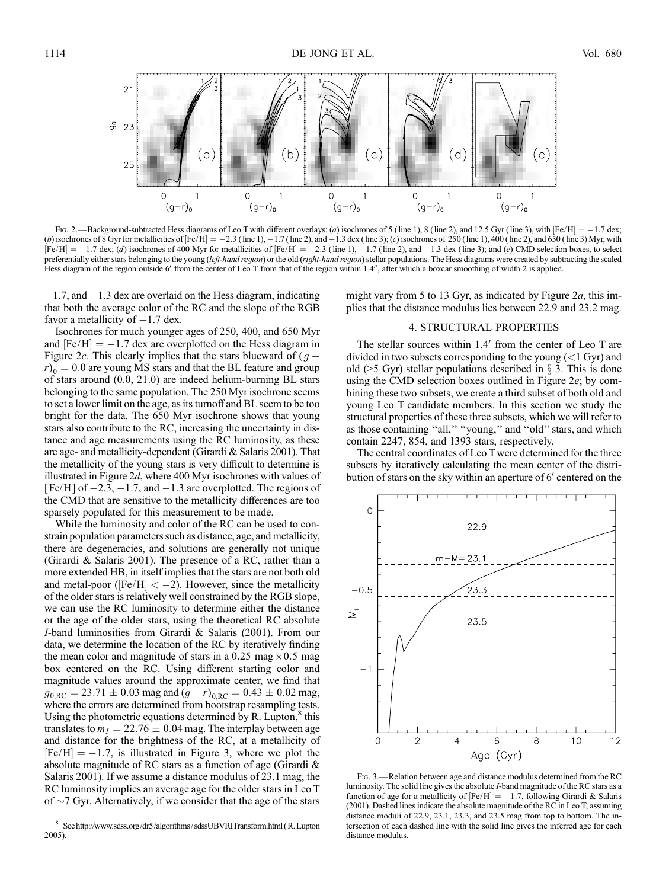

Fig. 2.—Background-subtracted Hess diagrams of Leo T with different overlays: (*a*) isochrones of 5 (line 1), 8 (line 2), and 12.5 Gyr (line 3), with  $[Fe/H] = -1.7$  dex; (b) isochrones of 8 Gyr for metallicities of  $[Fe/H] = -2.3$  (line 1),  $-1.7$  (line 2), and  $-1.3$  dex (line 3); (c) isochrones of 250 (line 1), 400 (line 2), and 650 (line 3) Myr, with  $[Fe/H] = -1.7$  dex; (d) isochrones of 400 Myr for metallicities of  $[Fe/H] = -2.3$  (line 1),  $-1.7$  (line 2), and  $-1.3$  dex (line 3); and (e) CMD selection boxes, to select preferentially either stars belonging to the young (left-hand region) or the old (right-hand region) stellar populations. The Hess diagrams were created by subtracting the scaled Hess diagram of the region outside 6' from the center of Leo T from that of the region within 1.4", after which a boxcar smoothing of width 2 is applied.

 $-1.7$ , and  $-1.3$  dex are overlaid on the Hess diagram, indicating that both the average color of the RC and the slope of the RGB favor a metallicity of  $-1.7$  dex.

Isochrones for much younger ages of 250, 400, and 650 Myr and  $[Fe/H] = -1.7$  dex are overplotted on the Hess diagram in Figure 2c. This clearly implies that the stars blueward of  $(g$  $r<sub>0</sub> = 0.0$  are young MS stars and that the BL feature and group of stars around (0.0, 21.0) are indeed helium-burning BL stars belonging to the same population. The 250 Myr isochrone seems to set a lower limit on the age, as its turnoff and BL seem to be too bright for the data. The 650 Myr isochrone shows that young stars also contribute to the RC, increasing the uncertainty in distance and age measurements using the RC luminosity, as these are age- and metallicity-dependent (Girardi & Salaris 2001). That the metallicity of the young stars is very difficult to determine is illustrated in Figure 2d, where 400 Myr isochrones with values of  $[Fe/H]$  of  $-2.3$ ,  $-1.7$ , and  $-1.3$  are overplotted. The regions of the CMD that are sensitive to the metallicity differences are too sparsely populated for this measurement to be made.

While the luminosity and color of the RC can be used to constrain population parameters such as distance, age, and metallicity, there are degeneracies, and solutions are generally not unique (Girardi & Salaris 2001). The presence of a RC, rather than a more extended HB, in itself implies that the stars are not both old and metal-poor ( $[Fe/H] < -2$ ). However, since the metallicity of the older stars is relatively well constrained by the RGB slope, we can use the RC luminosity to determine either the distance or the age of the older stars, using the theoretical RC absolute I-band luminosities from Girardi & Salaris (2001). From our data, we determine the location of the RC by iteratively finding the mean color and magnitude of stars in a 0.25 mag  $\times$  0.5 mag box centered on the RC. Using different starting color and magnitude values around the approximate center, we find that  $g_{0,RC} = 23.71 \pm 0.03$  mag and  $(g - r)_{0,RC} = 0.43 \pm 0.02$  mag, where the errors are determined from bootstrap resampling tests. Using the photometric equations determined by R. Lupton, $<sup>8</sup>$  this</sup> translates to  $m<sub>I</sub> = 22.76 \pm 0.04$  mag. The interplay between age and distance for the brightness of the RC, at a metallicity of  $[Fe/H] = -1.7$ , is illustrated in Figure 3, where we plot the absolute magnitude of RC stars as a function of age (Girardi & Salaris 2001). If we assume a distance modulus of 23.1 mag, the RC luminosity implies an average age for the older stars in Leo T of  $\sim$ 7 Gyr. Alternatively, if we consider that the age of the stars

might vary from 5 to 13 Gyr, as indicated by Figure  $2a$ , this implies that the distance modulus lies between 22.9 and 23.2 mag.

### 4. STRUCTURAL PROPERTIES

The stellar sources within  $1.4'$  from the center of Leo T are divided in two subsets corresponding to the young  $(< 1 \text{ Gyr})$  and old ( $>5$  Gyr) stellar populations described in  $\S$  3. This is done using the CMD selection boxes outlined in Figure 2e; by combining these two subsets, we create a third subset of both old and young Leo T candidate members. In this section we study the structural properties of these three subsets, which we will refer to as those containing "all," "young," and "old" stars, and which contain 2247, 854, and 1393 stars, respectively.

The central coordinates of Leo Twere determined for the three subsets by iteratively calculating the mean center of the distribution of stars on the sky within an aperture of  $6'$  centered on the



Fig. 3.—Relation between age and distance modulus determined from the RC luminosity. The solid line gives the absolute I-band magnitude of the RC stars as a function of age for a metallicity of  $[Fe/H] = -1.7$ , following Girardi & Salaris (2001). Dashed lines indicate the absolute magnitude of the RC in Leo T, assuming distance moduli of 22.9, 23.1, 23.3, and 23.5 mag from top to bottom. The intersection of each dashed line with the solid line gives the inferred age for each distance modulus.

<sup>8</sup> See http://www.sdss.org/dr5/algorithms/sdssUBVRITransform.html (R.Lupton 2005).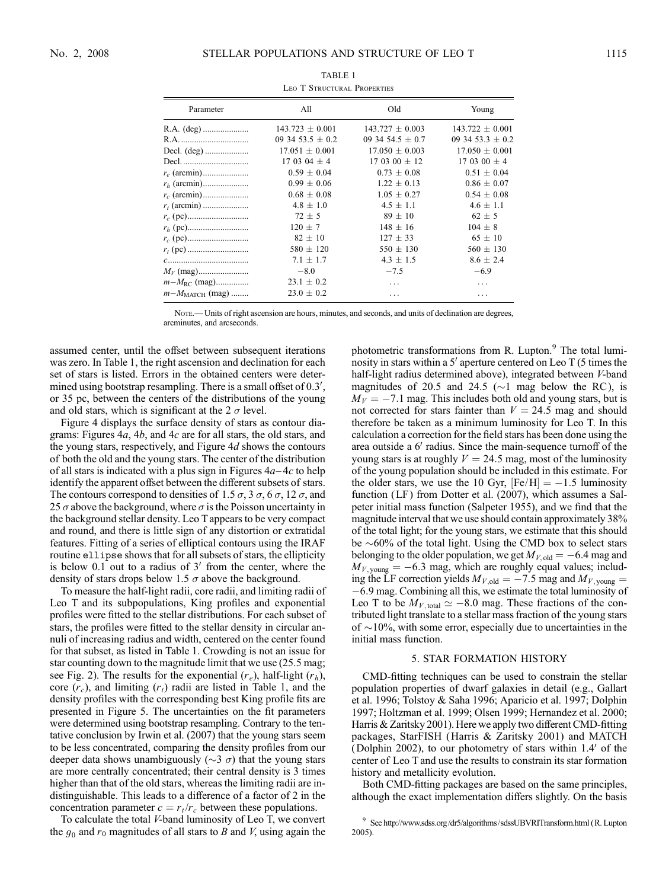| Parameter                  | All                  | Old                  | Young                |  |
|----------------------------|----------------------|----------------------|----------------------|--|
|                            | $143.723 \pm 0.001$  | $143.727 \pm 0.003$  | $143.722 \pm 0.001$  |  |
| R.A.                       | 09 34 53.5 $\pm$ 0.2 | 09 34 54.5 $\pm$ 0.7 | 09 34 53.3 $\pm$ 0.2 |  |
|                            | $17.051 \pm 0.001$   | $17.050 \pm 0.003$   | $17.050 \pm 0.001$   |  |
| Decl.                      | 17 03 04 $\pm$ 4     | $170300 \pm 12$      | 17 03 00 $\pm$ 4     |  |
|                            | $0.59 \pm 0.04$      | $0.73 \pm 0.08$      | $0.51 \pm 0.04$      |  |
|                            | $0.99 \pm 0.06$      | $1.22 \pm 0.13$      | $0.86 \pm 0.07$      |  |
|                            | $0.68 \pm 0.08$      | $1.05 \pm 0.27$      | $0.54 \pm 0.08$      |  |
|                            | $4.8 \pm 1.0$        | $4.5 \pm 1.1$        | $4.6 \pm 1.1$        |  |
|                            | $72 \pm 5$           | $89 \pm 10$          | $62 \pm 5$           |  |
|                            | $120 \pm 7$          | $148 \pm 16$         | $104 \pm 8$          |  |
|                            | $82 \pm 10$          | $127 \pm 33$         | $65 \pm 10$          |  |
|                            | $580 \pm 120$        | $550 \pm 130$        | $560 \pm 130$        |  |
|                            | $7.1 \pm 1.7$        | $4.3 \pm 1.5$        | $8.6 \pm 2.4$        |  |
|                            | $-8.0$               | $-7.5$               | $-6.9$               |  |
| $m-M_{\rm RC}$ (mag)       | $23.1 \pm 0.2$       | .                    | .                    |  |
| $m-M_{\text{MATCH}}$ (mag) | $23.0 \pm 0.2$       | .                    | .                    |  |

TABLE 1 LEO T STRUCTURAL PROPERTIES

Note.—Units of right ascension are hours, minutes, and seconds, and units of declination are degrees, arcminutes, and arcseconds.

assumed center, until the offset between subsequent iterations was zero. In Table 1, the right ascension and declination for each set of stars is listed. Errors in the obtained centers were determined using bootstrap resampling. There is a small offset of 0.3', or 35 pc, between the centers of the distributions of the young and old stars, which is significant at the 2  $\sigma$  level.

Figure 4 displays the surface density of stars as contour diagrams: Figures 4a, 4b, and 4c are for all stars, the old stars, and the young stars, respectively, and Figure 4d shows the contours of both the old and the young stars. The center of the distribution of all stars is indicated with a plus sign in Figures  $4a-4c$  to help identify the apparent offset between the different subsets of stars. The contours correspond to densities of 1.5  $\sigma$ , 3  $\sigma$ , 6  $\sigma$ , 12  $\sigma$ , and 25  $\sigma$  above the background, where  $\sigma$  is the Poisson uncertainty in the background stellar density. Leo T appears to be very compact and round, and there is little sign of any distortion or extratidal features. Fitting of a series of elliptical contours using the IRAF routine ellipse shows that for all subsets of stars, the ellipticity is below  $0.1$  out to a radius of  $3'$  from the center, where the density of stars drops below 1.5  $\sigma$  above the background.

To measure the half-light radii, core radii, and limiting radii of Leo T and its subpopulations, King profiles and exponential profiles were fitted to the stellar distributions. For each subset of stars, the profiles were fitted to the stellar density in circular annuli of increasing radius and width, centered on the center found for that subset, as listed in Table 1. Crowding is not an issue for star counting down to the magnitude limit that we use (25.5 mag; see Fig. 2). The results for the exponential  $(r_e)$ , half-light  $(r_h)$ , core  $(r_c)$ , and limiting  $(r_t)$  radii are listed in Table 1, and the density profiles with the corresponding best King profile fits are presented in Figure 5. The uncertainties on the fit parameters were determined using bootstrap resampling. Contrary to the tentative conclusion by Irwin et al. (2007) that the young stars seem to be less concentrated, comparing the density profiles from our deeper data shows unambiguously ( $\sim$ 3  $\sigma$ ) that the young stars are more centrally concentrated; their central density is 3 times higher than that of the old stars, whereas the limiting radii are indistinguishable. This leads to a difference of a factor of 2 in the concentration parameter  $c = r_t/r_c$  between these populations.

To calculate the total V-band luminosity of Leo T, we convert the  $g_0$  and  $r_0$  magnitudes of all stars to B and V, using again the

photometric transformations from R. Lupton.<sup>9</sup> The total luminosity in stars within a  $5'$  aperture centered on Leo T (5 times the half-light radius determined above), integrated between V-band magnitudes of 20.5 and 24.5 ( $\sim$ 1 mag below the RC), is  $M_V = -7.1$  mag. This includes both old and young stars, but is not corrected for stars fainter than  $V = 24.5$  mag and should therefore be taken as a minimum luminosity for Leo T. In this calculation a correction for the field stars has been done using the area outside a  $6'$  radius. Since the main-sequence turnoff of the young stars is at roughly  $V = 24.5$  mag, most of the luminosity of the young population should be included in this estimate. For the older stars, we use the 10 Gyr,  $[Fe/H] = -1.5$  luminosity function (LF) from Dotter et al. (2007), which assumes a Salpeter initial mass function (Salpeter 1955), and we find that the magnitude interval that we use should contain approximately 38% of the total light; for the young stars, we estimate that this should be  $\sim 60\%$  of the total light. Using the CMD box to select stars belonging to the older population, we get  $M_{V, \text{old}} = -6.4$  mag and  $M_{V, \text{young}} = -6.3$  mag, which are roughly equal values; including the LF correction yields  $M_{V,old} = -7.5$  mag and  $M_{V,young} =$ 6:9 mag. Combining all this, we estimate the total luminosity of Leo T to be  $M_{V, \text{total}} \simeq -8.0$  mag. These fractions of the contributed light translate to a stellar mass fraction of the young stars of  $\sim$ 10%, with some error, especially due to uncertainties in the initial mass function.

#### 5. STAR FORMATION HISTORY

CMD-fitting techniques can be used to constrain the stellar population properties of dwarf galaxies in detail (e.g., Gallart et al. 1996; Tolstoy & Saha 1996; Aparicio et al. 1997; Dolphin 1997; Holtzman et al. 1999; Olsen 1999; Hernandez et al. 2000; Harris & Zaritsky 2001). Here we apply two different CMD-fitting packages, StarFISH (Harris & Zaritsky 2001) and MATCH (Dolphin 2002), to our photometry of stars within  $1.4'$  of the center of Leo T and use the results to constrain its star formation history and metallicity evolution.

Both CMD-fitting packages are based on the same principles, although the exact implementation differs slightly. On the basis

<sup>9</sup> See http://www.sdss.org/dr5/algorithms/sdssUBVRITransform.html (R. Lupton 2005).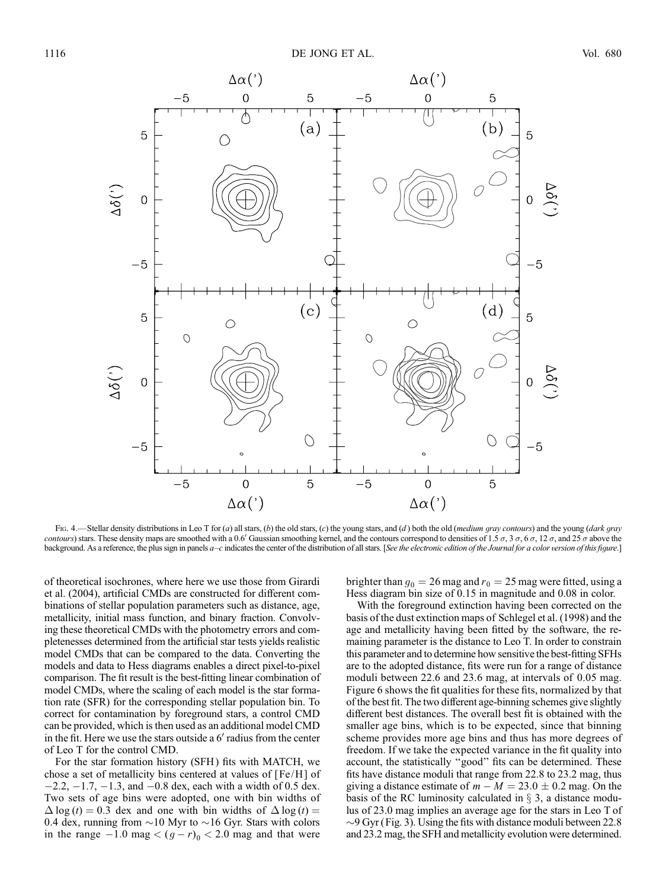

Fig. 4.—Stellar density distributions in Leo T for (a) all stars, (b) the old stars, (c) the young stars, and (d) both the old (medium gray contours) and the young (dark gray contours) stars. These density maps are smoothed with a 0.6' Gaussian smoothing kernel, and the contours correspond to densities of 1.5  $\sigma$ , 3  $\sigma$ , 6  $\sigma$ , 12  $\sigma$ , and 25  $\sigma$  above the background. As a reference, the plus sign in panels a–c indicates the center of the distribution of all stars. [See the electronic edition of the Journal for a color version of this figure.]

of theoretical isochrones, where here we use those from Girardi et al. (2004), artificial CMDs are constructed for different combinations of stellar population parameters such as distance, age, metallicity, initial mass function, and binary fraction. Convolving these theoretical CMDs with the photometry errors and completenesses determined from the artificial star tests yields realistic model CMDs that can be compared to the data. Converting the models and data to Hess diagrams enables a direct pixel-to-pixel comparison. The fit result is the best-fitting linear combination of model CMDs, where the scaling of each model is the star formation rate (SFR) for the corresponding stellar population bin. To correct for contamination by foreground stars, a control CMD can be provided, which is then used as an additional model CMD in the fit. Here we use the stars outside a  $6'$  radius from the center of Leo T for the control CMD.

For the star formation history (SFH) fits with MATCH, we chose a set of metallicity bins centered at values of  $[Fe/H]$  of  $-2.2, -1.7, -1.3,$  and  $-0.8$  dex, each with a width of 0.5 dex. Two sets of age bins were adopted, one with bin widths of  $\Delta \log(t) = 0.3$  dex and one with bin widths of  $\Delta \log(t) =$ 0.4 dex, running from  $\sim$  10 Myr to  $\sim$  16 Gyr. Stars with colors in the range  $-1.0$  mag  $\lt (g - r)_0 \lt 2.0$  mag and that were

brighter than  $g_0 = 26$  mag and  $r_0 = 25$  mag were fitted, using a Hess diagram bin size of 0.15 in magnitude and 0.08 in color.

With the foreground extinction having been corrected on the basis of the dust extinction maps of Schlegel et al. (1998) and the age and metallicity having been fitted by the software, the remaining parameter is the distance to Leo T. In order to constrain this parameter and to determine how sensitive the best-fitting SFHs are to the adopted distance, fits were run for a range of distance moduli between 22.6 and 23.6 mag, at intervals of 0.05 mag. Figure 6 shows the fit qualities for these fits, normalized by that of the best fit. The two different age-binning schemes give slightly different best distances. The overall best fit is obtained with the smaller age bins, which is to be expected, since that binning scheme provides more age bins and thus has more degrees of freedom. If we take the expected variance in the fit quality into account, the statistically ''good'' fits can be determined. These fits have distance moduli that range from 22.8 to 23.2 mag, thus giving a distance estimate of  $m - M = 23.0 \pm 0.2$  mag. On the basis of the RC luminosity calculated in  $\S$  3, a distance modulus of 23.0 mag implies an average age for the stars in Leo T of  $\sim$ 9 Gyr (Fig. 3). Using the fits with distance moduli between 22.8 and 23.2 mag, the SFH and metallicity evolution were determined.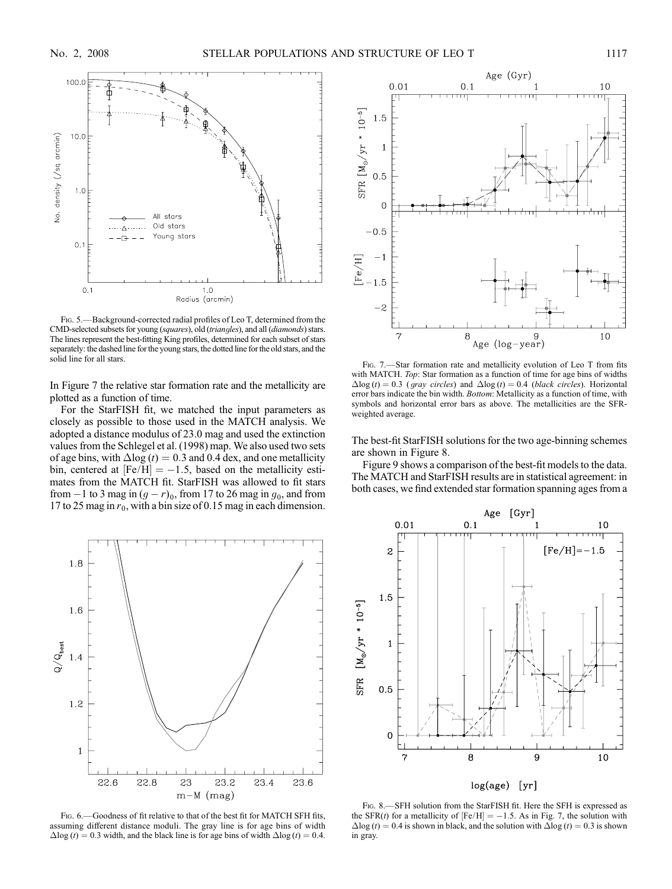

Fig. 5.—Background-corrected radial profiles of Leo T, determined from the CMD-selected subsets for young (squares), old (triangles), and all (diamonds) stars. The lines represent the best-fitting King profiles, determined for each subset of stars separately: the dashed line for the young stars, the dotted line for the old stars, and the solid line for all stars.

In Figure 7 the relative star formation rate and the metallicity are plotted as a function of time.

For the StarFISH fit, we matched the input parameters as closely as possible to those used in the MATCH analysis. We adopted a distance modulus of 23.0 mag and used the extinction values from the Schlegel et al. (1998) map. We also used two sets of age bins, with  $\Delta$ log (t) = 0.3 and 0.4 dex, and one metallicity bin, centered at  $[Fe/H] = -1.5$ , based on the metallicity estimates from the MATCH fit. StarFISH was allowed to fit stars from  $-1$  to 3 mag in  $(g - r)_0$ , from 17 to 26 mag in  $g_0$ , and from 17 to 25 mag in  $r_0$ , with a bin size of 0.15 mag in each dimension.



FIG. 6.—Goodness of fit relative to that of the best fit for MATCH SFH fits, assuming different distance moduli. The gray line is for age bins of width  $\Delta$ log (t) = 0.3 width, and the black line is for age bins of width  $\Delta$ log (t) = 0.4.



FIG. 7. - Star formation rate and metallicity evolution of Leo T from fits with MATCH. Top: Star formation as a function of time for age bins of widths  $\Delta$ log (t) = 0.3 (*gray circles*) and  $\Delta$ log (t) = 0.4 (*black circles*). Horizontal error bars indicate the bin width. Bottom: Metallicity as a function of time, with symbols and horizontal error bars as above. The metallicities are the SFRweighted average.

The best-fit StarFISH solutions for the two age-binning schemes are shown in Figure 8.

Figure 9 shows a comparison of the best-fit models to the data. The MATCH and StarFISH results are in statistical agreement: in both cases, we find extended star formation spanning ages from a



Fig. 8.—SFH solution from the StarFISH fit. Here the SFH is expressed as the SFR(*t*) for a metallicity of  $[Fe/H] = -1.5$ . As in Fig. 7, the solution with  $\Delta$ log (t) = 0.4 is shown in black, and the solution with  $\Delta$ log (t) = 0.3 is shown in gray.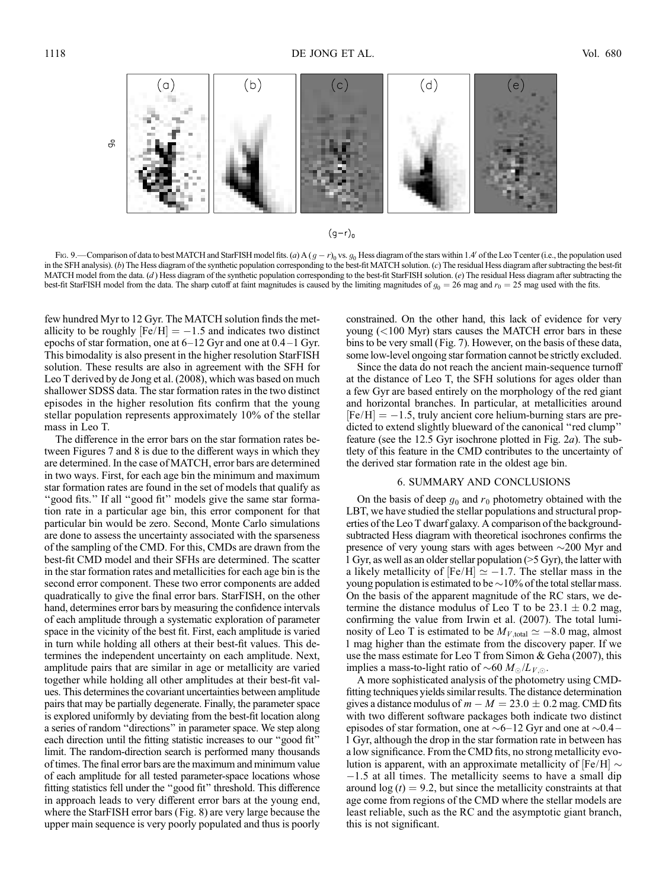



Fig. 9.—Comparison of data to best MATCH and StarFISH model fits. (a) A( $g - r$ )<sub>0</sub> vs.  $g_0$  Hess diagram of the stars within 1.4' of the Leo T center (i.e., the population used in the SFH analysis). (b) The Hess diagram of the synthetic population corresponding to the best-fit MATCH solution. (c) The residual Hess diagram after subtracting the best-fit MATCH model from the data. (d) Hess diagram of the synthetic population corresponding to the best-fit StarFISH solution. (e) The residual Hess diagram after subtracting the best-fit StarFISH model from the data. The sharp cutoff at faint magnitudes is caused by the limiting magnitudes of  $g_0 = 26$  mag and  $r_0 = 25$  mag used with the fits.

few hundred Myr to 12 Gyr. The MATCH solution finds the metallicity to be roughly  $[Fe/H] = -1.5$  and indicates two distinct epochs of star formation, one at  $6-12$  Gyr and one at  $0.4-1$  Gyr. This bimodality is also present in the higher resolution StarFISH solution. These results are also in agreement with the SFH for Leo T derived by de Jong et al. (2008), which was based on much shallower SDSS data. The star formation rates in the two distinct episodes in the higher resolution fits confirm that the young stellar population represents approximately 10% of the stellar mass in Leo T.

The difference in the error bars on the star formation rates between Figures 7 and 8 is due to the different ways in which they are determined. In the case of MATCH, error bars are determined in two ways. First, for each age bin the minimum and maximum star formation rates are found in the set of models that qualify as "good fits." If all "good fit" models give the same star formation rate in a particular age bin, this error component for that particular bin would be zero. Second, Monte Carlo simulations are done to assess the uncertainty associated with the sparseness of the sampling of the CMD. For this, CMDs are drawn from the best-fit CMD model and their SFHs are determined. The scatter in the star formation rates and metallicities for each age bin is the second error component. These two error components are added quadratically to give the final error bars. StarFISH, on the other hand, determines error bars by measuring the confidence intervals of each amplitude through a systematic exploration of parameter space in the vicinity of the best fit. First, each amplitude is varied in turn while holding all others at their best-fit values. This determines the independent uncertainty on each amplitude. Next, amplitude pairs that are similar in age or metallicity are varied together while holding all other amplitudes at their best-fit values. This determines the covariant uncertainties between amplitude pairs that may be partially degenerate. Finally, the parameter space is explored uniformly by deviating from the best-fit location along a series of random ''directions'' in parameter space. We step along each direction until the fitting statistic increases to our ''good fit'' limit. The random-direction search is performed many thousands of times. The final error bars are the maximum and minimum value of each amplitude for all tested parameter-space locations whose fitting statistics fell under the ''good fit'' threshold. This difference in approach leads to very different error bars at the young end, where the StarFISH error bars (Fig. 8) are very large because the upper main sequence is very poorly populated and thus is poorly

constrained. On the other hand, this lack of evidence for very young (<100 Myr) stars causes the MATCH error bars in these bins to be very small (Fig. 7). However, on the basis of these data, some low-level ongoing star formation cannot be strictly excluded.

Since the data do not reach the ancient main-sequence turnoff at the distance of Leo T, the SFH solutions for ages older than a few Gyr are based entirely on the morphology of the red giant and horizontal branches. In particular, at metallicities around  $[Fe/H] = -1.5$ , truly ancient core helium-burning stars are predicted to extend slightly blueward of the canonical ''red clump'' feature (see the 12.5 Gyr isochrone plotted in Fig. 2a). The subtlety of this feature in the CMD contributes to the uncertainty of the derived star formation rate in the oldest age bin.

#### 6. SUMMARY AND CONCLUSIONS

On the basis of deep  $g_0$  and  $r_0$  photometry obtained with the LBT, we have studied the stellar populations and structural properties of the Leo T dwarf galaxy. A comparison of the backgroundsubtracted Hess diagram with theoretical isochrones confirms the presence of very young stars with ages between  $\sim$ 200 Myr and 1 Gyr, as well as an older stellar population (>5 Gyr), the latter with a likely metallicity of  $[Fe/H] \simeq -1.7$ . The stellar mass in the young population is estimated to be  $\sim$  10% of the total stellar mass. On the basis of the apparent magnitude of the RC stars, we determine the distance modulus of Leo T to be  $23.1 \pm 0.2$  mag, confirming the value from Irwin et al. (2007). The total luminosity of Leo T is estimated to be  $M_{V, \text{total}} \simeq -8.0$  mag, almost 1 mag higher than the estimate from the discovery paper. If we use the mass estimate for Leo T from Simon & Geha (2007), this implies a mass-to-light ratio of  $\sim 60 M_{\odot}/L_{V,\odot}$ .

A more sophisticated analysis of the photometry using CMDfitting techniques yields similar results. The distance determination gives a distance modulus of  $m - M = 23.0 \pm 0.2$  mag. CMD fits with two different software packages both indicate two distinct episodes of star formation, one at  $\sim 6$ –12 Gyr and one at  $\sim 0.4$  – 1 Gyr, although the drop in the star formation rate in between has a low significance. From the CMD fits, no strong metallicity evolution is apparent, with an approximate metallicity of [Fe/H]  $\sim$  $-1.5$  at all times. The metallicity seems to have a small dip around  $log(t) = 9.2$ , but since the metallicity constraints at that age come from regions of the CMD where the stellar models are least reliable, such as the RC and the asymptotic giant branch, this is not significant.